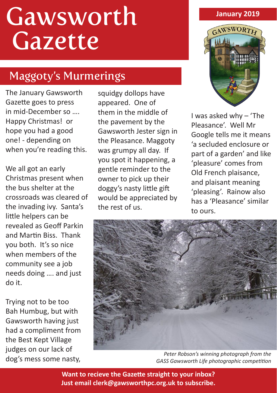# Gawsworth Gazette

## Maggoty's Murmerings

The January Gawsworth Gazette goes to press in mid-December so …. Happy Christmas! or hope you had a good one! - depending on when you're reading this.

We all got an early Christmas present when the bus shelter at the crossroads was cleared of the invading ivy. Santa's little helpers can be revealed as Geoff Parkin and Martin Biss. Thank you both. It's so nice when members of the community see a job needs doing …. and just do it.

Trying not to be too Bah Humbug, but with Gawsworth having just had a compliment from the Best Kept Village judges on our lack of dog's mess some nasty, squidgy dollops have appeared. One of them in the middle of the pavement by the Gawsworth Jester sign in the Pleasance. Maggoty was grumpy all day. If you spot it happening, a gentle reminder to the owner to pick up their doggy's nasty little gift would be appreciated by the rest of us.

#### **January 2019**



I was asked why – 'The Pleasance'. Well Mr Google tells me it means 'a secluded enclosure or part of a garden' and like 'pleasure' comes from Old French plaisance, and plaisant meaning 'pleasing'. Rainow also has a 'Pleasance' similar to ours.



*Peter Robson's winning photograph from the GASS Gawsworth Life photographic competition*

**Want to recieve the Gazette straight to your inbox? Just email clerk@gawsworthpc.org.uk to subscribe.**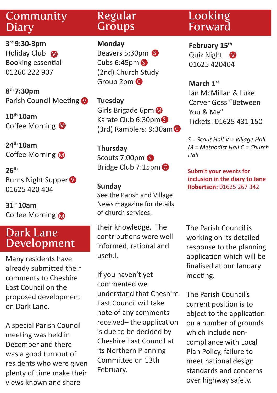## Community Diary

**3rd 9:30-3pm** Holiday Club M Booking essential 01260 222 907

**8th 7:30pm**  Parish Council Meeting

**10th 10am**  Coffee Morning M

**24th 10am**  Coffee Morning M

**26th** Burns Night Supper 01625 420 404

**31st 10am**  Coffee Morning M

## Dark Lane Development

Many residents have already submitted their comments to Cheshire East Council on the proposed development on Dark Lane.

A special Parish Council meeting was held in December and there was a good turnout of residents who were given plenty of time make their views known and share

## Regular **Groups**

**Monday** Beavers 5:30pm 6 Cubs 6:45pm S (2nd) Church Study Group 2pm C

**Tuesday** Girls Brigade 6pm Karate Club 6:30pm S (3rd) Ramblers: 9:30am C

**Thursday** Scouts 7:00pm Bridge Club 7:15pm C

#### **Sunday**

See the Parish and Village News magazine for details of church services.

their knowledge. The contributions were well informed, rational and useful.

If you haven't yet commented we understand that Cheshire East Council will take note of any comments received– the application is due to be decided by Cheshire East Council at its Northern Planning Committee on 13th February.

## Looking Forward

**February 15th** Quiz Night V 01625 420404

**March 1st** Ian McMillan & Luke Carver Goss "Between You & Me" Tickets: 01625 431 150

*S = Scout Hall V = Village Hall M = Methodist Hall C = Church Hall* 

**Submit your events for inclusion in the diary to Jane Robertson:** 01625 267 342

The Parish Council is working on its detailed response to the planning application which will be finalised at our January meeting.

The Parish Council's current position is to object to the application on a number of grounds which include noncompliance with Local Plan Policy, failure to meet national design standards and concerns over highway safety.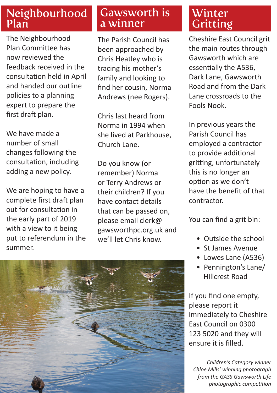## Neighbourhood Plan

The Neighbourhood Plan Committee has now reviewed the feedback received in the consultation held in April and handed our outline policies to a planning expert to prepare the first draft plan.

We have made a number of small changes following the consultation, including adding a new policy.

We are hoping to have a complete first draft plan out for consultation in the early part of 2019 with a view to it being put to referendum in the summer.

## Gawsworth is a winner

The Parish Council has been approached by Chris Heatley who is tracing his mother's family and looking to find her cousin, Norma Andrews (nee Rogers).

Chris last heard from Norma in 1994 when she lived at Parkhouse, Church Lane.

Do you know (or remember) Norma or Terry Andrews or their children? If you have contact details that can be passed on, please email clerk@ gawsworthpc.org.uk and we'll let Chris know.



Cheshire East Council grit the main routes through Gawsworth which are essentially the A536, Dark Lane, Gawsworth Road and from the Dark Lane crossroads to the Fools Nook.

In previous years the Parish Council has employed a contractor to provide additional gritting, unfortunately this is no longer an option as we don't have the benefit of that contractor.

You can find a grit bin:

- Outside the school
- St James Avenue
- Lowes Lane (A536)
- Pennington's Lane/ Hillcrest Road

If you find one empty, please report it immediately to Cheshire East Council on 0300 123 5020 and they will ensure it is filled.

*Children's Category winner Chloe Mills' winning photograph from the GASS Gawsworth Life photographic competition*